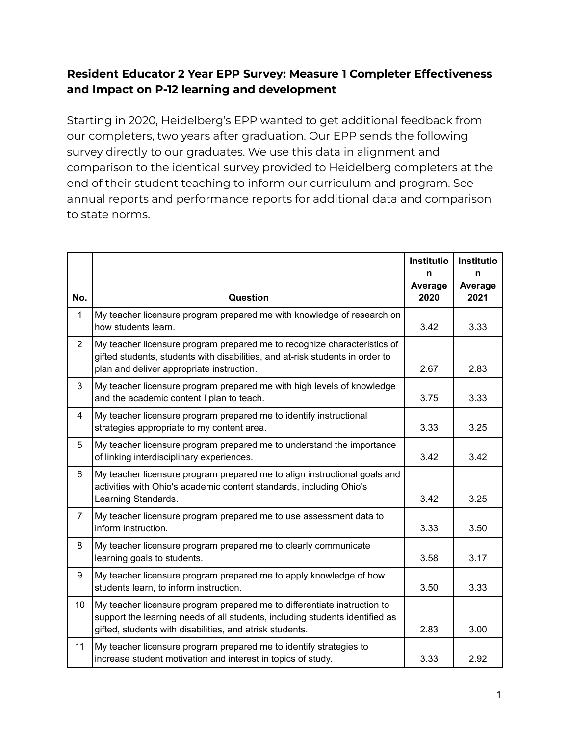## **Resident Educator 2 Year EPP Survey: Measure 1 Completer Effectiveness and Impact on P-12 learning and development**

Starting in 2020, Heidelberg's EPP wanted to get additional feedback from our completers, two years after graduation. Our EPP sends the following survey directly to our graduates. We use this data in alignment and comparison to the identical survey provided to Heidelberg completers at the end of their student teaching to inform our curriculum and program. See annual reports and performance reports for additional data and comparison to state norms.

|                         |                                                                                                                                                                                                                      | <b>Institutio</b><br>n | <b>Institutio</b><br>n |
|-------------------------|----------------------------------------------------------------------------------------------------------------------------------------------------------------------------------------------------------------------|------------------------|------------------------|
| No.                     | Question                                                                                                                                                                                                             | Average<br>2020        | Average<br>2021        |
| $\mathbf{1}$            | My teacher licensure program prepared me with knowledge of research on<br>how students learn.                                                                                                                        | 3.42                   | 3.33                   |
| $\overline{2}$          | My teacher licensure program prepared me to recognize characteristics of<br>gifted students, students with disabilities, and at-risk students in order to<br>plan and deliver appropriate instruction.               | 2.67                   | 2.83                   |
| 3                       | My teacher licensure program prepared me with high levels of knowledge<br>and the academic content I plan to teach.                                                                                                  | 3.75                   | 3.33                   |
| $\overline{\mathbf{4}}$ | My teacher licensure program prepared me to identify instructional<br>strategies appropriate to my content area.                                                                                                     | 3.33                   | 3.25                   |
| 5                       | My teacher licensure program prepared me to understand the importance<br>of linking interdisciplinary experiences.                                                                                                   | 3.42                   | 3.42                   |
| 6                       | My teacher licensure program prepared me to align instructional goals and<br>activities with Ohio's academic content standards, including Ohio's<br>Learning Standards.                                              | 3.42                   | 3.25                   |
| $\overline{7}$          | My teacher licensure program prepared me to use assessment data to<br>inform instruction.                                                                                                                            | 3.33                   | 3.50                   |
| 8                       | My teacher licensure program prepared me to clearly communicate<br>learning goals to students.                                                                                                                       | 3.58                   | 3.17                   |
| 9                       | My teacher licensure program prepared me to apply knowledge of how<br>students learn, to inform instruction.                                                                                                         | 3.50                   | 3.33                   |
| 10                      | My teacher licensure program prepared me to differentiate instruction to<br>support the learning needs of all students, including students identified as<br>gifted, students with disabilities, and atrisk students. | 2.83                   | 3.00                   |
| 11                      | My teacher licensure program prepared me to identify strategies to<br>increase student motivation and interest in topics of study.                                                                                   | 3.33                   | 2.92                   |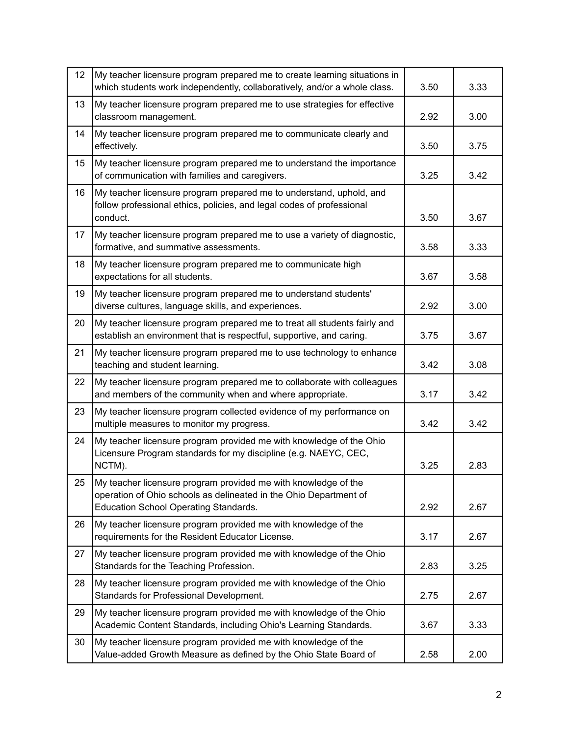| 12 | My teacher licensure program prepared me to create learning situations in<br>which students work independently, collaboratively, and/or a whole class.                              | 3.50 | 3.33 |
|----|-------------------------------------------------------------------------------------------------------------------------------------------------------------------------------------|------|------|
| 13 | My teacher licensure program prepared me to use strategies for effective<br>classroom management.                                                                                   | 2.92 | 3.00 |
| 14 | My teacher licensure program prepared me to communicate clearly and<br>effectively.                                                                                                 | 3.50 | 3.75 |
| 15 | My teacher licensure program prepared me to understand the importance<br>of communication with families and caregivers.                                                             | 3.25 | 3.42 |
| 16 | My teacher licensure program prepared me to understand, uphold, and<br>follow professional ethics, policies, and legal codes of professional<br>conduct.                            | 3.50 | 3.67 |
| 17 | My teacher licensure program prepared me to use a variety of diagnostic,<br>formative, and summative assessments.                                                                   | 3.58 | 3.33 |
| 18 | My teacher licensure program prepared me to communicate high<br>expectations for all students.                                                                                      | 3.67 | 3.58 |
| 19 | My teacher licensure program prepared me to understand students'<br>diverse cultures, language skills, and experiences.                                                             | 2.92 | 3.00 |
| 20 | My teacher licensure program prepared me to treat all students fairly and<br>establish an environment that is respectful, supportive, and caring.                                   | 3.75 | 3.67 |
| 21 | My teacher licensure program prepared me to use technology to enhance<br>teaching and student learning.                                                                             | 3.42 | 3.08 |
| 22 | My teacher licensure program prepared me to collaborate with colleagues<br>and members of the community when and where appropriate.                                                 | 3.17 | 3.42 |
| 23 | My teacher licensure program collected evidence of my performance on<br>multiple measures to monitor my progress.                                                                   | 3.42 | 3.42 |
| 24 | My teacher licensure program provided me with knowledge of the Ohio<br>Licensure Program standards for my discipline (e.g. NAEYC, CEC,<br>NCTM).                                    | 3.25 | 2.83 |
| 25 | My teacher licensure program provided me with knowledge of the<br>operation of Ohio schools as delineated in the Ohio Department of<br><b>Education School Operating Standards.</b> | 2.92 | 2.67 |
| 26 | My teacher licensure program provided me with knowledge of the<br>requirements for the Resident Educator License.                                                                   | 3.17 | 2.67 |
| 27 | My teacher licensure program provided me with knowledge of the Ohio<br>Standards for the Teaching Profession.                                                                       | 2.83 | 3.25 |
| 28 | My teacher licensure program provided me with knowledge of the Ohio<br>Standards for Professional Development.                                                                      | 2.75 | 2.67 |
| 29 | My teacher licensure program provided me with knowledge of the Ohio<br>Academic Content Standards, including Ohio's Learning Standards.                                             | 3.67 | 3.33 |
| 30 | My teacher licensure program provided me with knowledge of the<br>Value-added Growth Measure as defined by the Ohio State Board of                                                  | 2.58 | 2.00 |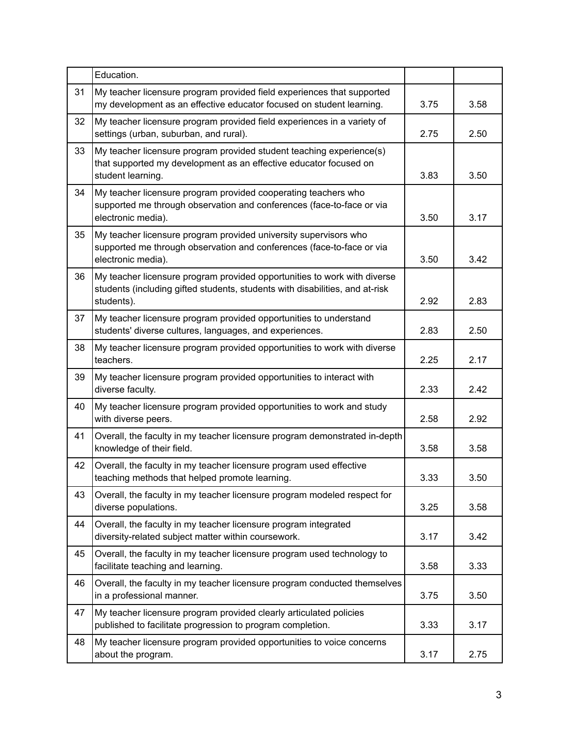|    | Education.                                                                                                                                                             |      |      |
|----|------------------------------------------------------------------------------------------------------------------------------------------------------------------------|------|------|
| 31 | My teacher licensure program provided field experiences that supported<br>my development as an effective educator focused on student learning.                         | 3.75 | 3.58 |
| 32 | My teacher licensure program provided field experiences in a variety of<br>settings (urban, suburban, and rural).                                                      | 2.75 | 2.50 |
| 33 | My teacher licensure program provided student teaching experience(s)<br>that supported my development as an effective educator focused on<br>student learning.         | 3.83 | 3.50 |
| 34 | My teacher licensure program provided cooperating teachers who<br>supported me through observation and conferences (face-to-face or via<br>electronic media).          | 3.50 | 3.17 |
| 35 | My teacher licensure program provided university supervisors who<br>supported me through observation and conferences (face-to-face or via<br>electronic media).        | 3.50 | 3.42 |
| 36 | My teacher licensure program provided opportunities to work with diverse<br>students (including gifted students, students with disabilities, and at-risk<br>students). | 2.92 | 2.83 |
| 37 | My teacher licensure program provided opportunities to understand<br>students' diverse cultures, languages, and experiences.                                           | 2.83 | 2.50 |
| 38 | My teacher licensure program provided opportunities to work with diverse<br>teachers.                                                                                  | 2.25 | 2.17 |
| 39 | My teacher licensure program provided opportunities to interact with<br>diverse faculty.                                                                               | 2.33 | 2.42 |
| 40 | My teacher licensure program provided opportunities to work and study<br>with diverse peers.                                                                           | 2.58 | 2.92 |
| 41 | Overall, the faculty in my teacher licensure program demonstrated in-depth<br>knowledge of their field.                                                                | 3.58 | 3.58 |
| 42 | Overall, the faculty in my teacher licensure program used effective<br>teaching methods that helped promote learning.                                                  | 3.33 | 3.50 |
| 43 | Overall, the faculty in my teacher licensure program modeled respect for<br>diverse populations.                                                                       | 3.25 | 3.58 |
| 44 | Overall, the faculty in my teacher licensure program integrated<br>diversity-related subject matter within coursework.                                                 | 3.17 | 3.42 |
| 45 | Overall, the faculty in my teacher licensure program used technology to<br>facilitate teaching and learning.                                                           | 3.58 | 3.33 |
| 46 | Overall, the faculty in my teacher licensure program conducted themselves<br>in a professional manner.                                                                 | 3.75 | 3.50 |
| 47 | My teacher licensure program provided clearly articulated policies<br>published to facilitate progression to program completion.                                       | 3.33 | 3.17 |
| 48 | My teacher licensure program provided opportunities to voice concerns<br>about the program.                                                                            | 3.17 | 2.75 |